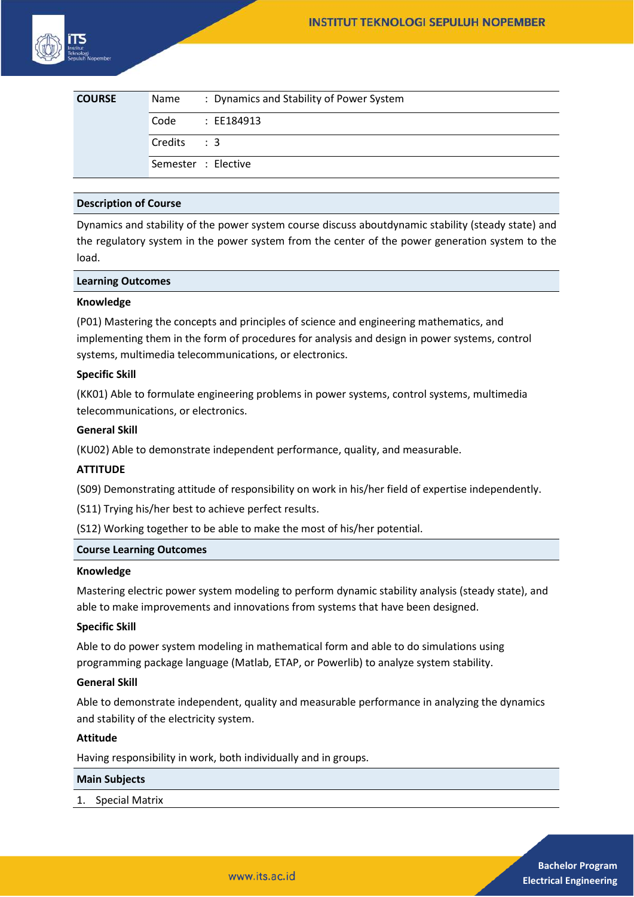| <b>COURSE</b> | Name                | : Dynamics and Stability of Power System |
|---------------|---------------------|------------------------------------------|
|               | Code                | : EE184913                               |
|               | $Credits$ : 3       |                                          |
|               | Semester : Elective |                                          |

# **Description of Course**

Dynamics and stability of the power system course discuss aboutdynamic stability (steady state) and the regulatory system in the power system from the center of the power generation system to the load.

#### **Learning Outcomes**

#### **Knowledge**

(P01) Mastering the concepts and principles of science and engineering mathematics, and implementing them in the form of procedures for analysis and design in power systems, control systems, multimedia telecommunications, or electronics.

### **Specific Skill**

(KK01) Able to formulate engineering problems in power systems, control systems, multimedia telecommunications, or electronics.

### **General Skill**

(KU02) Able to demonstrate independent performance, quality, and measurable.

# **ATTITUDE**

(S09) Demonstrating attitude of responsibility on work in his/her field of expertise independently.

(S11) Trying his/her best to achieve perfect results.

(S12) Working together to be able to make the most of his/her potential.

#### **Course Learning Outcomes**

#### **Knowledge**

Mastering electric power system modeling to perform dynamic stability analysis (steady state), and able to make improvements and innovations from systems that have been designed.

# **Specific Skill**

Able to do power system modeling in mathematical form and able to do simulations using programming package language (Matlab, ETAP, or Powerlib) to analyze system stability.

#### **General Skill**

Able to demonstrate independent, quality and measurable performance in analyzing the dynamics and stability of the electricity system.

#### **Attitude**

Having responsibility in work, both individually and in groups.

#### **Main Subjects**

1. Special Matrix